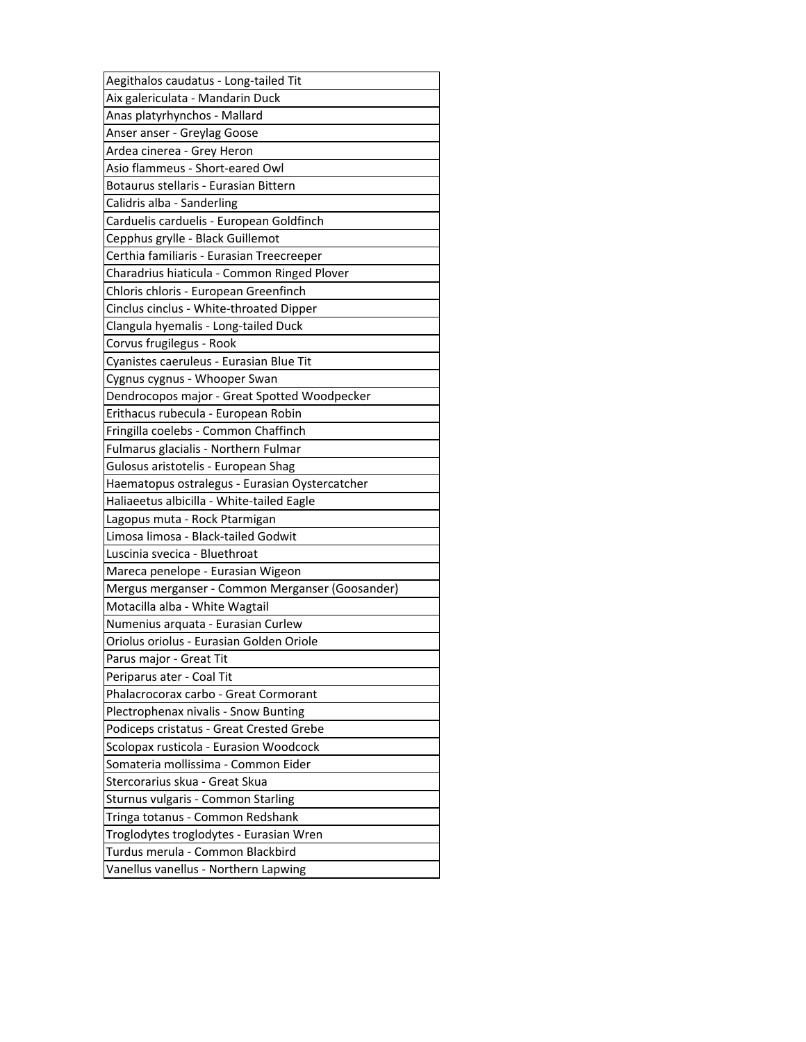| Aegithalos caudatus - Long-tailed Tit           |
|-------------------------------------------------|
| Aix galericulata - Mandarin Duck                |
| Anas platyrhynchos - Mallard                    |
| Anser anser - Greylag Goose                     |
| Ardea cinerea - Grey Heron                      |
| Asio flammeus - Short-eared Owl                 |
| Botaurus stellaris - Eurasian Bittern           |
| Calidris alba - Sanderling                      |
| Carduelis carduelis - European Goldfinch        |
| Cepphus grylle - Black Guillemot                |
| Certhia familiaris - Eurasian Treecreeper       |
| Charadrius hiaticula - Common Ringed Plover     |
| Chloris chloris - European Greenfinch           |
| Cinclus cinclus - White-throated Dipper         |
| Clangula hyemalis - Long-tailed Duck            |
| Corvus frugilegus - Rook                        |
| Cyanistes caeruleus - Eurasian Blue Tit         |
| Cygnus cygnus - Whooper Swan                    |
| Dendrocopos major - Great Spotted Woodpecker    |
| Erithacus rubecula - European Robin             |
| Fringilla coelebs - Common Chaffinch            |
| Fulmarus glacialis - Northern Fulmar            |
| Gulosus aristotelis - European Shag             |
| Haematopus ostralegus - Eurasian Oystercatcher  |
| Haliaeetus albicilla - White-tailed Eagle       |
| Lagopus muta - Rock Ptarmigan                   |
| Limosa limosa - Black-tailed Godwit             |
| Luscinia svecica - Bluethroat                   |
| Mareca penelope - Eurasian Wigeon               |
| Mergus merganser - Common Merganser (Goosander) |
| Motacilla alba - White Wagtail                  |
| Numenius arquata - Eurasian Curlew              |
| Oriolus oriolus - Eurasian Golden Oriole        |
| Parus major - Great Tit                         |
| Periparus ater - Coal Tit                       |
| Phalacrocorax carbo - Great Cormorant           |
| Plectrophenax nivalis - Snow Bunting            |
| Podiceps cristatus - Great Crested Grebe        |
| Scolopax rusticola - Eurasion Woodcock          |
| Somateria mollissima - Common Eider             |
| Stercorarius skua - Great Skua                  |
| Sturnus vulgaris - Common Starling              |
| Tringa totanus - Common Redshank                |
| Troglodytes troglodytes - Eurasian Wren         |
| Turdus merula - Common Blackbird                |
| Vanellus vanellus - Northern Lapwing            |